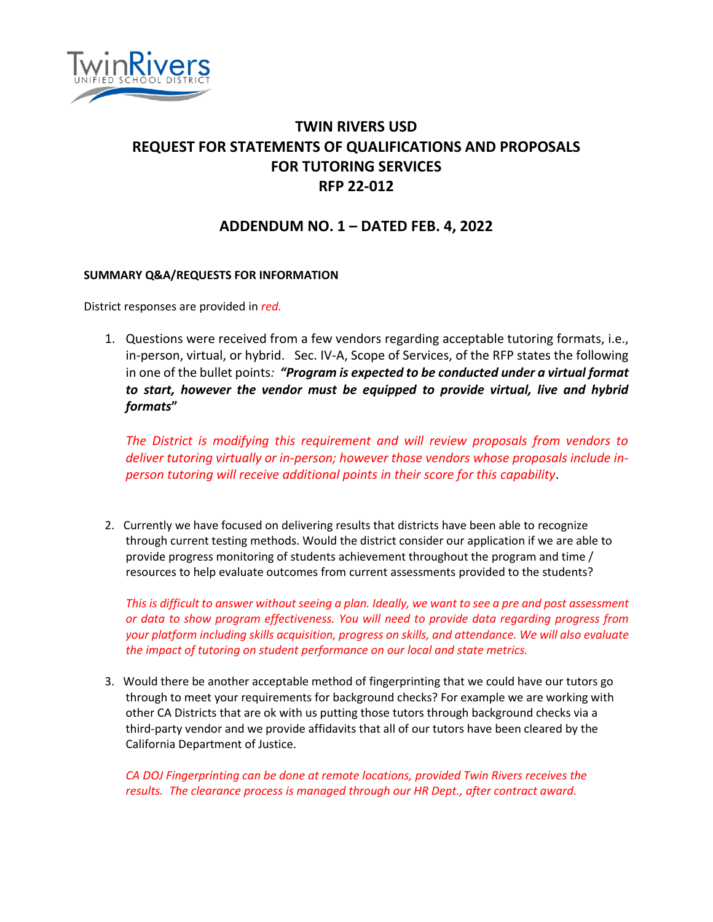

# **TWIN RIVERS USD REQUEST FOR STATEMENTS OF QUALIFICATIONS AND PROPOSALS FOR TUTORING SERVICES RFP 22-012**

## **ADDENDUM NO. 1 – DATED FEB. 4, 2022**

#### **SUMMARY Q&A/REQUESTS FOR INFORMATION**

District responses are provided in *red.*

1. Questions were received from a few vendors regarding acceptable tutoring formats, i.e., in-person, virtual, or hybrid. Sec. IV-A, Scope of Services, of the RFP states the following in one of the bullet points*: "Program is expected to be conducted under a virtual format to start, however the vendor must be equipped to provide virtual, live and hybrid formats***"** 

*The District is modifying this requirement and will review proposals from vendors to deliver tutoring virtually or in-person; however those vendors whose proposals include inperson tutoring will receive additional points in their score for this capability*.

2. Currently we have focused on delivering results that districts have been able to recognize through current testing methods. Would the district consider our application if we are able to provide progress monitoring of students achievement throughout the program and time / resources to help evaluate outcomes from current assessments provided to the students?

*This is difficult to answer without seeing a plan. Ideally, we want to see a pre and post assessment or data to show program effectiveness. You will need to provide data regarding progress from your platform including skills acquisition, progress on skills, and attendance. We will also evaluate the impact of tutoring on student performance on our local and state metrics.*

3. Would there be another acceptable method of fingerprinting that we could have our tutors go through to meet your requirements for background checks? For example we are working with other CA Districts that are ok with us putting those tutors through background checks via a third-party vendor and we provide affidavits that all of our tutors have been cleared by the California Department of Justice.

*CA DOJ Fingerprinting can be done at remote locations, provided Twin Rivers receives the results. The clearance process is managed through our HR Dept., after contract award.*